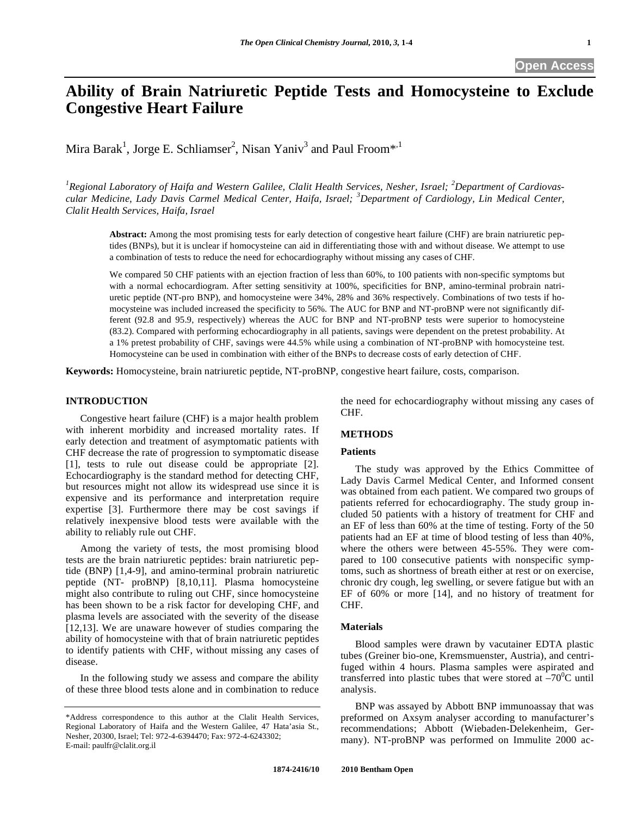# **Ability of Brain Natriuretic Peptide Tests and Homocysteine to Exclude Congestive Heart Failure**

Mira Barak<sup>1</sup>, Jorge E. Schliamser<sup>2</sup>, Nisan Yaniv<sup>3</sup> and Paul Froom\*<sup>,1</sup>

<sup>1</sup> Regional Laboratory of Haifa and Western Galilee, Clalit Health Services, Nesher, Israel; <sup>2</sup>Department of Cardiovas*cular Medicine, Lady Davis Carmel Medical Center, Haifa, Israel; <sup>3</sup> Department of Cardiology, Lin Medical Center, Clalit Health Services, Haifa, Israel* 

**Abstract:** Among the most promising tests for early detection of congestive heart failure (CHF) are brain natriuretic peptides (BNPs), but it is unclear if homocysteine can aid in differentiating those with and without disease. We attempt to use a combination of tests to reduce the need for echocardiography without missing any cases of CHF.

We compared 50 CHF patients with an ejection fraction of less than 60%, to 100 patients with non-specific symptoms but with a normal echocardiogram. After setting sensitivity at 100%, specificities for BNP, amino-terminal probrain natriuretic peptide (NT-pro BNP), and homocysteine were 34%, 28% and 36% respectively. Combinations of two tests if homocysteine was included increased the specificity to 56%. The AUC for BNP and NT-proBNP were not significantly different (92.8 and 95.9, respectively) whereas the AUC for BNP and NT-proBNP tests were superior to homocysteine (83.2). Compared with performing echocardiography in all patients, savings were dependent on the pretest probability. At a 1% pretest probability of CHF, savings were 44.5% while using a combination of NT-proBNP with homocysteine test. Homocysteine can be used in combination with either of the BNPs to decrease costs of early detection of CHF.

**Keywords:** Homocysteine, brain natriuretic peptide, NT-proBNP, congestive heart failure, costs, comparison.

## **INTRODUCTION**

 Congestive heart failure (CHF) is a major health problem with inherent morbidity and increased mortality rates. If early detection and treatment of asymptomatic patients with CHF decrease the rate of progression to symptomatic disease [1], tests to rule out disease could be appropriate [2]. Echocardiography is the standard method for detecting CHF, but resources might not allow its widespread use since it is expensive and its performance and interpretation require expertise [3]. Furthermore there may be cost savings if relatively inexpensive blood tests were available with the ability to reliably rule out CHF.

 Among the variety of tests, the most promising blood tests are the brain natriuretic peptides: brain natriuretic peptide (BNP) [1,4-9], and amino-terminal probrain natriuretic peptide (NT- proBNP) [8,10,11]. Plasma homocysteine might also contribute to ruling out CHF, since homocysteine has been shown to be a risk factor for developing CHF, and plasma levels are associated with the severity of the disease [12,13]. We are unaware however of studies comparing the ability of homocysteine with that of brain natriuretic peptides to identify patients with CHF, without missing any cases of disease.

 In the following study we assess and compare the ability of these three blood tests alone and in combination to reduce the need for echocardiography without missing any cases of CHF.

# **METHODS**

## **Patients**

 The study was approved by the Ethics Committee of Lady Davis Carmel Medical Center, and Informed consent was obtained from each patient. We compared two groups of patients referred for echocardiography. The study group included 50 patients with a history of treatment for CHF and an EF of less than 60% at the time of testing. Forty of the 50 patients had an EF at time of blood testing of less than 40%, where the others were between 45-55%. They were compared to 100 consecutive patients with nonspecific symptoms, such as shortness of breath either at rest or on exercise, chronic dry cough, leg swelling, or severe fatigue but with an EF of 60% or more [14], and no history of treatment for CHF.

#### **Materials**

 Blood samples were drawn by vacutainer EDTA plastic tubes (Greiner bio-one, Kremsmuenster, Austria), and centrifuged within 4 hours. Plasma samples were aspirated and transferred into plastic tubes that were stored at  $-70^{\circ}$ C until analysis.

 BNP was assayed by Abbott BNP immunoassay that was preformed on Axsym analyser according to manufacturer's recommendations; Abbott (Wiebaden-Delekenheim, Germany). NT-proBNP was performed on Immulite 2000 ac-

<sup>\*</sup>Address correspondence to this author at the Clalit Health Services, Regional Laboratory of Haifa and the Western Galilee, 47 Hata'asia St., Nesher, 20300, Israel; Tel: 972-4-6394470; Fax: 972-4-6243302; E-mail: paulfr@clalit.org.il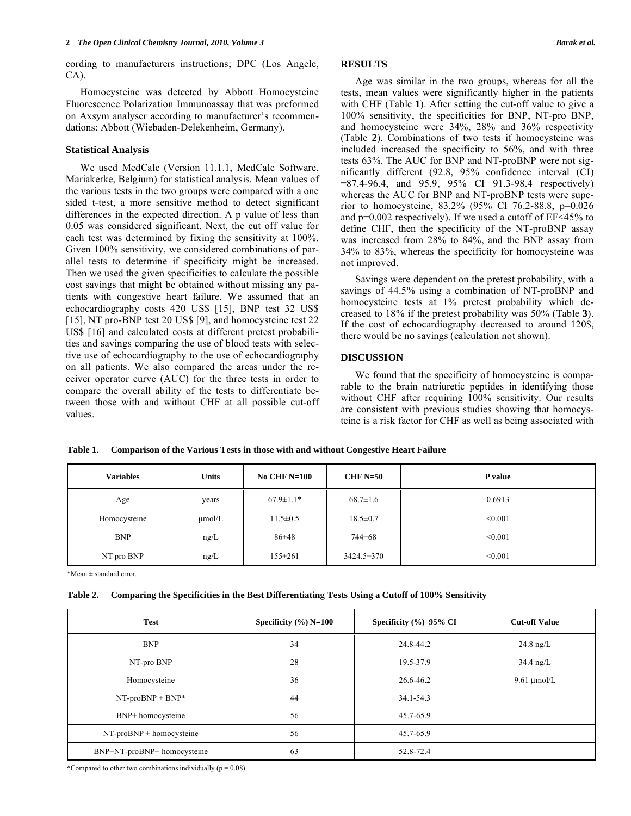cording to manufacturers instructions; DPC (Los Angele, CA).

 Homocysteine was detected by Abbott Homocysteine Fluorescence Polarization Immunoassay that was preformed on Axsym analyser according to manufacturer's recommendations; Abbott (Wiebaden-Delekenheim, Germany).

#### **Statistical Analysis**

 We used MedCalc (Version 11.1.1, MedCalc Software, Mariakerke, Belgium) for statistical analysis. Mean values of the various tests in the two groups were compared with a one sided t-test, a more sensitive method to detect significant differences in the expected direction. A p value of less than 0.05 was considered significant. Next, the cut off value for each test was determined by fixing the sensitivity at 100%. Given 100% sensitivity, we considered combinations of parallel tests to determine if specificity might be increased. Then we used the given specificities to calculate the possible cost savings that might be obtained without missing any patients with congestive heart failure. We assumed that an echocardiography costs 420 US\$ [15], BNP test 32 US\$ [15], NT pro-BNP test 20 US\$ [9], and homocysteine test 22 US\$ [16] and calculated costs at different pretest probabilities and savings comparing the use of blood tests with selective use of echocardiography to the use of echocardiography on all patients. We also compared the areas under the receiver operator curve (AUC) for the three tests in order to compare the overall ability of the tests to differentiate between those with and without CHF at all possible cut-off values.

# **RESULTS**

 Age was similar in the two groups, whereas for all the tests, mean values were significantly higher in the patients with CHF (Table **1**). After setting the cut-off value to give a 100% sensitivity, the specificities for BNP, NT-pro BNP, and homocysteine were 34%, 28% and 36% respectivity (Table **2**). Combinations of two tests if homocysteine was included increased the specificity to 56%, and with three tests 63%. The AUC for BNP and NT-proBNP were not significantly different (92.8, 95% confidence interval (CI) =87.4-96.4, and 95.9, 95% CI 91.3-98.4 respectively) whereas the AUC for BNP and NT-proBNP tests were superior to homocysteine, 83.2% (95% CI 76.2-88.8, p=0.026 and p=0.002 respectively). If we used a cutoff of EF<45% to define CHF, then the specificity of the NT-proBNP assay was increased from 28% to 84%, and the BNP assay from 34% to 83%, whereas the specificity for homocysteine was not improved.

 Savings were dependent on the pretest probability, with a savings of 44.5% using a combination of NT-proBNP and homocysteine tests at 1% pretest probability which decreased to 18% if the pretest probability was 50% (Table **3**). If the cost of echocardiography decreased to around 120\$, there would be no savings (calculation not shown).

## **DISCUSSION**

 We found that the specificity of homocysteine is comparable to the brain natriuretic peptides in identifying those without CHF after requiring 100% sensitivity. Our results are consistent with previous studies showing that homocysteine is a risk factor for CHF as well as being associated with

| Table 1.<br>Comparison of the Various Tests in those with and without Congestive Heart Failure |              |                 |                |                |  |  |
|------------------------------------------------------------------------------------------------|--------------|-----------------|----------------|----------------|--|--|
| Variables                                                                                      | <b>Units</b> | No CHF $N=100$  | CHF $N=50$     | <b>P</b> value |  |  |
| Age                                                                                            | years        | $67.9 \pm 1.1*$ | $68.7 \pm 1.6$ | 0.6913         |  |  |
| Homocysteine                                                                                   | $\mu$ mol/L  | $11.5 \pm 0.5$  | $18.5 \pm 0.7$ | < 0.001        |  |  |
|                                                                                                |              |                 |                |                |  |  |

 $\text{BNP}$   $\text{ng/L}$   $86\pm48$   $744\pm68$   $\leq 0.001$ NT pro BNP  $ng/L$   $155 \pm 261$   $3424.5 \pm 370$   $\sim$   $0.001$ 

**Table 1. Comparison of the Various Tests in those with and without Congestive Heart Failure**

\*Mean ± standard error.

| Table 2. |  |  | Comparing the Specificities in the Best Differentiating Tests Using a Cutoff of 100% Sensitivity |  |
|----------|--|--|--------------------------------------------------------------------------------------------------|--|
|          |  |  |                                                                                                  |  |

| <b>Test</b>                 | Specificity $(\%)$ N=100 | Specificity $(\% )$ 95% CI | <b>Cut-off Value</b> |
|-----------------------------|--------------------------|----------------------------|----------------------|
| <b>BNP</b>                  | 34                       | 24.8-44.2                  | $24.8$ ng/L          |
| NT-pro BNP                  | 28                       | 19.5-37.9                  | $34.4$ ng/L          |
| Homocysteine                | 36                       | 26.6-46.2                  | $9.61 \mu$ mol/L     |
| $NT-proBNP + BNP*$          | 44                       | 34.1-54.3                  |                      |
| BNP+ homocysteine           | 56                       | 45.7-65.9                  |                      |
| $NT-proBNP + homocysteine$  | 56                       | 45.7-65.9                  |                      |
| BNP+NT-proBNP+ homocysteine | 63                       | 52.8-72.4                  |                      |

\*Compared to other two combinations individually  $(p = 0.08)$ .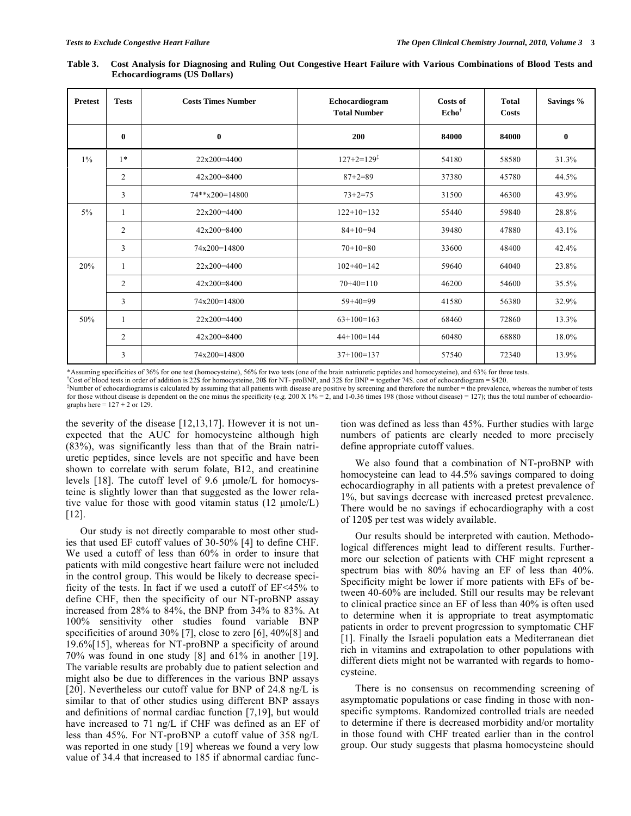| <b>Pretest</b> | <b>Tests</b>   | <b>Costs Times Number</b> | Echocardiogram<br><b>Total Number</b> | <b>Costs of</b><br>$\mathbf{Echo}^{\dagger}$ | <b>Total</b><br>Costs | Savings % |
|----------------|----------------|---------------------------|---------------------------------------|----------------------------------------------|-----------------------|-----------|
|                | $\bf{0}$       | $\bf{0}$                  | 200                                   | 84000                                        | 84000                 | $\bf{0}$  |
| $1\%$          | $1*$           | 22x200=4400               | $127+2=129^{\ddagger}$                | 54180                                        | 58580                 | 31.3%     |
|                | $\overline{2}$ | $42x200=8400$             | $87 + 2 = 89$                         | 37380                                        | 45780                 | 44.5%     |
|                | 3              | $74**x200=14800$          | $73 + 2 = 75$                         | 31500                                        | 46300                 | 43.9%     |
| $5\%$          |                | $22x200=4400$             | $122+10=132$                          | 55440                                        | 59840                 | 28.8%     |
|                | $\overline{2}$ | $42x200 = 8400$           | $84+10=94$                            | 39480                                        | 47880                 | 43.1%     |
|                | 3              | 74x200=14800              | $70+10=80$                            | 33600                                        | 48400                 | 42.4%     |
| 20%            | 1              | 22x200=4400               | $102+40=142$                          | 59640                                        | 64040                 | 23.8%     |
|                | $\overline{2}$ | $42x200 = 8400$           | $70+40=110$                           | 46200                                        | 54600                 | 35.5%     |
|                | 3              | 74x200=14800              | $59+40=99$                            | 41580                                        | 56380                 | 32.9%     |
| 50%            | 1              | 22x200=4400               | $63+100=163$                          | 68460                                        | 72860                 | 13.3%     |
|                | $\overline{2}$ | $42x200 = 8400$           | $44+100=144$                          | 60480                                        | 68880                 | 18.0%     |
|                | 3              | 74x200=14800              | $37+100=137$                          | 57540                                        | 72340                 | 13.9%     |

**Table 3. Cost Analysis for Diagnosing and Ruling Out Congestive Heart Failure with Various Combinations of Blood Tests and Echocardiograms (US Dollars)** 

\*Assuming specificities of 36% for one test (homocysteine), 56% for two tests (one of the brain natriuretic peptides and homocysteine), and 63% for three tests. †

Cost of blood tests in order of addition is 22\$ for homocysteine, 20\$ for NT- proBNP, and 32\$ for BNP = together 74\$. cost of echocardiogram = \$420. ‡

Number of echocardiograms is calculated by assuming that all patients with disease are positive by screening and therefore the number = the prevalence, whereas the number of tests for those without disease is dependent on the one minus the specificity (e.g. 200 X  $1\% = 2$ , and 1-0.36 times 198 (those without disease) = 127); thus the total number of echocardiographs here =  $127 + 2$  or 129.

the severity of the disease [12,13,17]. However it is not unexpected that the AUC for homocysteine although high (83%), was significantly less than that of the Brain natriuretic peptides, since levels are not specific and have been shown to correlate with serum folate, B12, and creatinine levels [18]. The cutoff level of 9.6 μmole/L for homocysteine is slightly lower than that suggested as the lower relative value for those with good vitamin status (12 μmole/L) [12].

 Our study is not directly comparable to most other studies that used EF cutoff values of 30-50% [4] to define CHF. We used a cutoff of less than 60% in order to insure that patients with mild congestive heart failure were not included in the control group. This would be likely to decrease specificity of the tests. In fact if we used a cutoff of EF<45% to define CHF, then the specificity of our NT-proBNP assay increased from 28% to 84%, the BNP from 34% to 83%. At 100% sensitivity other studies found variable BNP specificities of around 30% [7], close to zero [6], 40%[8] and 19.6%[15], whereas for NT-proBNP a specificity of around 70% was found in one study [8] and 61% in another [19]. The variable results are probably due to patient selection and might also be due to differences in the various BNP assays [20]. Nevertheless our cutoff value for BNP of 24.8 ng/L is similar to that of other studies using different BNP assays and definitions of normal cardiac function [7,19], but would have increased to 71 ng/L if CHF was defined as an EF of less than 45%. For NT-proBNP a cutoff value of 358 ng/L was reported in one study [19] whereas we found a very low value of 34.4 that increased to 185 if abnormal cardiac function was defined as less than 45%. Further studies with large numbers of patients are clearly needed to more precisely define appropriate cutoff values.

 We also found that a combination of NT-proBNP with homocysteine can lead to 44.5% savings compared to doing echocardiography in all patients with a pretest prevalence of 1%, but savings decrease with increased pretest prevalence. There would be no savings if echocardiography with a cost of 120\$ per test was widely available.

 Our results should be interpreted with caution. Methodological differences might lead to different results. Furthermore our selection of patients with CHF might represent a spectrum bias with 80% having an EF of less than 40%. Specificity might be lower if more patients with EFs of between 40-60% are included. Still our results may be relevant to clinical practice since an EF of less than 40% is often used to determine when it is appropriate to treat asymptomatic patients in order to prevent progression to symptomatic CHF [1]. Finally the Israeli population eats a Mediterranean diet rich in vitamins and extrapolation to other populations with different diets might not be warranted with regards to homocysteine.

 There is no consensus on recommending screening of asymptomatic populations or case finding in those with nonspecific symptoms. Randomized controlled trials are needed to determine if there is decreased morbidity and/or mortality in those found with CHF treated earlier than in the control group. Our study suggests that plasma homocysteine should